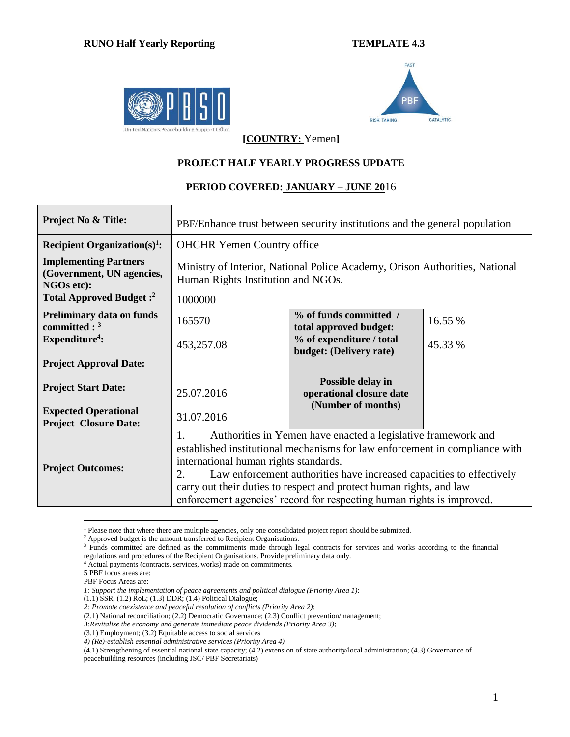## **RUNO Half Yearly Reporting TEMPLATE 4.3**





**[COUNTRY:** Yemen**]**

## **PROJECT HALF YEARLY PROGRESS UPDATE**

## **PERIOD COVERED: JANUARY – JUNE 20**16

| <b>Project No &amp; Title:</b>                                                 | PBF/Enhance trust between security institutions and the general population                                                                                                                                                                                                                                                                                                                                                |                                                                     |         |  |  |  |  |
|--------------------------------------------------------------------------------|---------------------------------------------------------------------------------------------------------------------------------------------------------------------------------------------------------------------------------------------------------------------------------------------------------------------------------------------------------------------------------------------------------------------------|---------------------------------------------------------------------|---------|--|--|--|--|
| Recipient Organization(s) <sup>1</sup> :                                       |                                                                                                                                                                                                                                                                                                                                                                                                                           | <b>OHCHR Yemen Country office</b>                                   |         |  |  |  |  |
| <b>Implementing Partners</b><br>(Government, UN agencies,<br><b>NGOs etc):</b> | Ministry of Interior, National Police Academy, Orison Authorities, National<br>Human Rights Institution and NGOs.                                                                                                                                                                                                                                                                                                         |                                                                     |         |  |  |  |  |
| <b>Total Approved Budget:</b> <sup>2</sup>                                     | 1000000                                                                                                                                                                                                                                                                                                                                                                                                                   |                                                                     |         |  |  |  |  |
| <b>Preliminary data on funds</b><br>committed : $3$                            | 165570                                                                                                                                                                                                                                                                                                                                                                                                                    | % of funds committed /<br>total approved budget:                    | 16.55 % |  |  |  |  |
| Expenditure <sup>4</sup> :                                                     | 453,257.08                                                                                                                                                                                                                                                                                                                                                                                                                | % of expenditure / total<br>budget: (Delivery rate)                 | 45.33 % |  |  |  |  |
| <b>Project Approval Date:</b>                                                  |                                                                                                                                                                                                                                                                                                                                                                                                                           |                                                                     |         |  |  |  |  |
| <b>Project Start Date:</b>                                                     | 25.07.2016                                                                                                                                                                                                                                                                                                                                                                                                                | Possible delay in<br>operational closure date<br>(Number of months) |         |  |  |  |  |
| <b>Expected Operational</b><br><b>Project Closure Date:</b>                    | 31.07.2016                                                                                                                                                                                                                                                                                                                                                                                                                |                                                                     |         |  |  |  |  |
| <b>Project Outcomes:</b>                                                       | 1.<br>Authorities in Yemen have enacted a legislative framework and<br>established institutional mechanisms for law enforcement in compliance with<br>international human rights standards.<br>Law enforcement authorities have increased capacities to effectively<br>2.<br>carry out their duties to respect and protect human rights, and law<br>enforcement agencies' record for respecting human rights is improved. |                                                                     |         |  |  |  |  |

<sup>&</sup>lt;sup>1</sup> Please note that where there are multiple agencies, only one consolidated project report should be submitted.

- <sup>4</sup> Actual payments (contracts, services, works) made on commitments.
- 5 PBF focus areas are:

 $\overline{a}$ 

PBF Focus Areas are:

<sup>&</sup>lt;sup>2</sup> Approved budget is the amount transferred to Recipient Organisations.

<sup>&</sup>lt;sup>3</sup> Funds committed are defined as the commitments made through legal contracts for services and works according to the financial regulations and procedures of the Recipient Organisations. Provide preliminary data only.

*<sup>1:</sup> Support the implementation of peace agreements and political dialogue (Priority Area 1)*:

 $(1.1)$  SSR,  $(1.2)$  RoL;  $(1.3)$  DDR;  $(1.4)$  Political Dialogue;

*<sup>2:</sup> Promote coexistence and peaceful resolution of conflicts (Priority Area 2)*:

<sup>(2.1)</sup> National reconciliation; (2.2) Democratic Governance; (2.3) Conflict prevention/management;

*<sup>3:</sup>Revitalise the economy and generate immediate peace dividends (Priority Area 3)*;

<sup>(3.1)</sup> Employment; (3.2) Equitable access to social services

*<sup>4)</sup> (Re)-establish essential administrative services (Priority Area 4)*

<sup>(4.1)</sup> Strengthening of essential national state capacity; (4.2) extension of state authority/local administration; (4.3) Governance of peacebuilding resources (including JSC/ PBF Secretariats)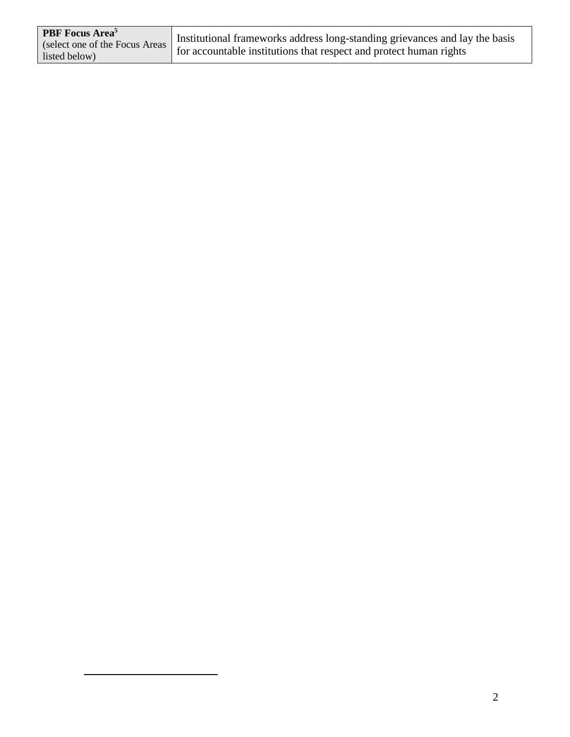| <b>PBF</b> Focus Area <sup>5</sup> | Institutional frameworks address long-standing grievances and lay the basis<br>$\chi$ select one of the Focus Areas $\chi$ for accountable institutions that respect and protect human rights |
|------------------------------------|-----------------------------------------------------------------------------------------------------------------------------------------------------------------------------------------------|
|                                    |                                                                                                                                                                                               |

 $\overline{a}$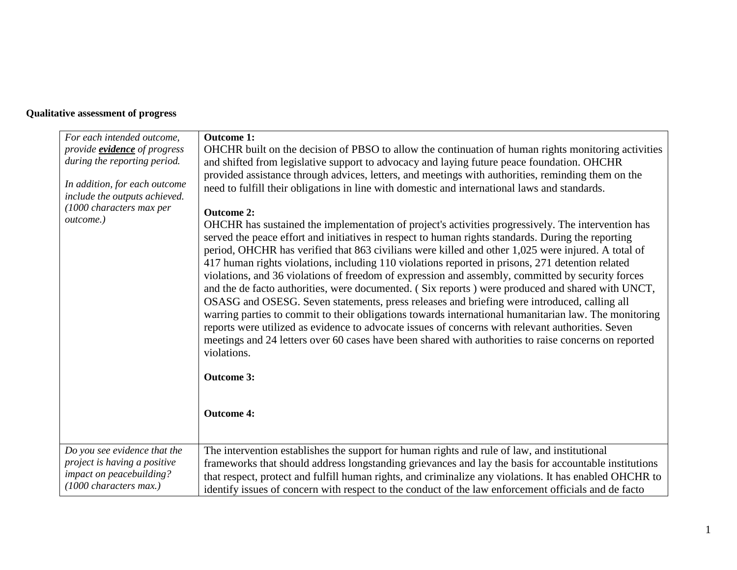## **Qualitative assessment of progress**

| For each intended outcome,            | <b>Outcome 1:</b>                                                                                                                                                                                                                                                                                                                                                                                                                                                                                                                                                                                                                                                                                                                                                                                                                                                                                                                                                                                                                                                                                                               |
|---------------------------------------|---------------------------------------------------------------------------------------------------------------------------------------------------------------------------------------------------------------------------------------------------------------------------------------------------------------------------------------------------------------------------------------------------------------------------------------------------------------------------------------------------------------------------------------------------------------------------------------------------------------------------------------------------------------------------------------------------------------------------------------------------------------------------------------------------------------------------------------------------------------------------------------------------------------------------------------------------------------------------------------------------------------------------------------------------------------------------------------------------------------------------------|
| provide <b>evidence</b> of progress   | OHCHR built on the decision of PBSO to allow the continuation of human rights monitoring activities                                                                                                                                                                                                                                                                                                                                                                                                                                                                                                                                                                                                                                                                                                                                                                                                                                                                                                                                                                                                                             |
| during the reporting period.          | and shifted from legislative support to advocacy and laying future peace foundation. OHCHR                                                                                                                                                                                                                                                                                                                                                                                                                                                                                                                                                                                                                                                                                                                                                                                                                                                                                                                                                                                                                                      |
| In addition, for each outcome         | provided assistance through advices, letters, and meetings with authorities, reminding them on the                                                                                                                                                                                                                                                                                                                                                                                                                                                                                                                                                                                                                                                                                                                                                                                                                                                                                                                                                                                                                              |
| include the outputs achieved.         | need to fulfill their obligations in line with domestic and international laws and standards.                                                                                                                                                                                                                                                                                                                                                                                                                                                                                                                                                                                                                                                                                                                                                                                                                                                                                                                                                                                                                                   |
| (1000 characters max per<br>outcome.) | <b>Outcome 2:</b><br>OHCHR has sustained the implementation of project's activities progressively. The intervention has<br>served the peace effort and initiatives in respect to human rights standards. During the reporting<br>period, OHCHR has verified that 863 civilians were killed and other 1,025 were injured. A total of<br>417 human rights violations, including 110 violations reported in prisons, 271 detention related<br>violations, and 36 violations of freedom of expression and assembly, committed by security forces<br>and the de facto authorities, were documented. (Six reports) were produced and shared with UNCT,<br>OSASG and OSESG. Seven statements, press releases and briefing were introduced, calling all<br>warring parties to commit to their obligations towards international humanitarian law. The monitoring<br>reports were utilized as evidence to advocate issues of concerns with relevant authorities. Seven<br>meetings and 24 letters over 60 cases have been shared with authorities to raise concerns on reported<br>violations.<br><b>Outcome 3:</b><br><b>Outcome 4:</b> |
| Do you see evidence that the          | The intervention establishes the support for human rights and rule of law, and institutional                                                                                                                                                                                                                                                                                                                                                                                                                                                                                                                                                                                                                                                                                                                                                                                                                                                                                                                                                                                                                                    |
| project is having a positive          | frameworks that should address longstanding grievances and lay the basis for accountable institutions                                                                                                                                                                                                                                                                                                                                                                                                                                                                                                                                                                                                                                                                                                                                                                                                                                                                                                                                                                                                                           |
| impact on peacebuilding?              | that respect, protect and fulfill human rights, and criminalize any violations. It has enabled OHCHR to                                                                                                                                                                                                                                                                                                                                                                                                                                                                                                                                                                                                                                                                                                                                                                                                                                                                                                                                                                                                                         |
| $(1000$ characters max.)              | identify issues of concern with respect to the conduct of the law enforcement officials and de facto                                                                                                                                                                                                                                                                                                                                                                                                                                                                                                                                                                                                                                                                                                                                                                                                                                                                                                                                                                                                                            |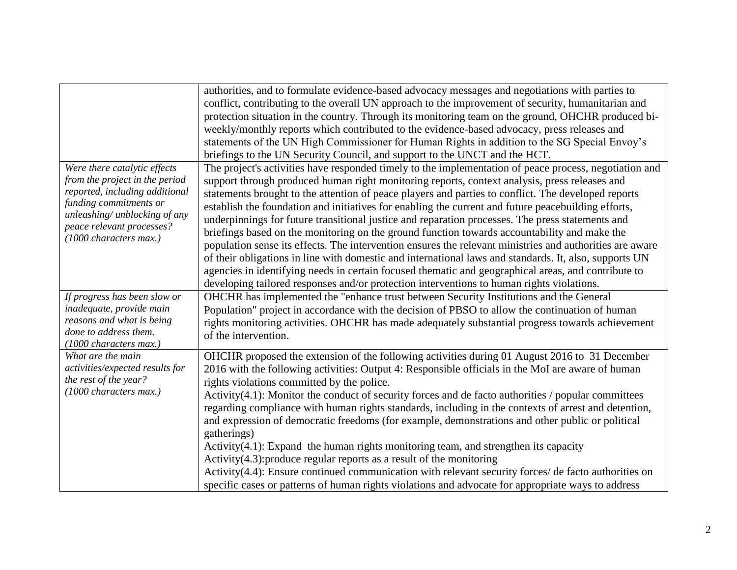|                                                     | authorities, and to formulate evidence-based advocacy messages and negotiations with parties to          |
|-----------------------------------------------------|----------------------------------------------------------------------------------------------------------|
|                                                     | conflict, contributing to the overall UN approach to the improvement of security, humanitarian and       |
|                                                     | protection situation in the country. Through its monitoring team on the ground, OHCHR produced bi-       |
|                                                     |                                                                                                          |
|                                                     | weekly/monthly reports which contributed to the evidence-based advocacy, press releases and              |
|                                                     | statements of the UN High Commissioner for Human Rights in addition to the SG Special Envoy's            |
|                                                     | briefings to the UN Security Council, and support to the UNCT and the HCT.                               |
| Were there catalytic effects                        | The project's activities have responded timely to the implementation of peace process, negotiation and   |
| from the project in the period                      | support through produced human right monitoring reports, context analysis, press releases and            |
| reported, including additional                      | statements brought to the attention of peace players and parties to conflict. The developed reports      |
| funding commitments or                              | establish the foundation and initiatives for enabling the current and future peacebuilding efforts,      |
| unleashing/ unblocking of any                       | underpinnings for future transitional justice and reparation processes. The press statements and         |
| peace relevant processes?<br>(1000 characters max.) | briefings based on the monitoring on the ground function towards accountability and make the             |
|                                                     | population sense its effects. The intervention ensures the relevant ministries and authorities are aware |
|                                                     | of their obligations in line with domestic and international laws and standards. It, also, supports UN   |
|                                                     | agencies in identifying needs in certain focused thematic and geographical areas, and contribute to      |
|                                                     | developing tailored responses and/or protection interventions to human rights violations.                |
| If progress has been slow or                        | OHCHR has implemented the "enhance trust between Security Institutions and the General                   |
| inadequate, provide main                            | Population" project in accordance with the decision of PBSO to allow the continuation of human           |
| reasons and what is being                           | rights monitoring activities. OHCHR has made adequately substantial progress towards achievement         |
| done to address them.                               | of the intervention.                                                                                     |
| (1000 characters max.)                              |                                                                                                          |
| What are the main                                   | OHCHR proposed the extension of the following activities during 01 August 2016 to 31 December            |
| activities/expected results for                     | 2016 with the following activities: Output 4: Responsible officials in the MoI are aware of human        |
| the rest of the year?                               | rights violations committed by the police.                                                               |
| (1000 characters max.)                              | Activity(4.1): Monitor the conduct of security forces and de facto authorities / popular committees      |
|                                                     | regarding compliance with human rights standards, including in the contexts of arrest and detention,     |
|                                                     | and expression of democratic freedoms (for example, demonstrations and other public or political         |
|                                                     | gatherings)                                                                                              |
|                                                     | $Activity(4.1)$ : Expand the human rights monitoring team, and strengthen its capacity                   |
|                                                     | Activity(4.3): produce regular reports as a result of the monitoring                                     |
|                                                     | Activity(4.4): Ensure continued communication with relevant security forces/ de facto authorities on     |
|                                                     | specific cases or patterns of human rights violations and advocate for appropriate ways to address       |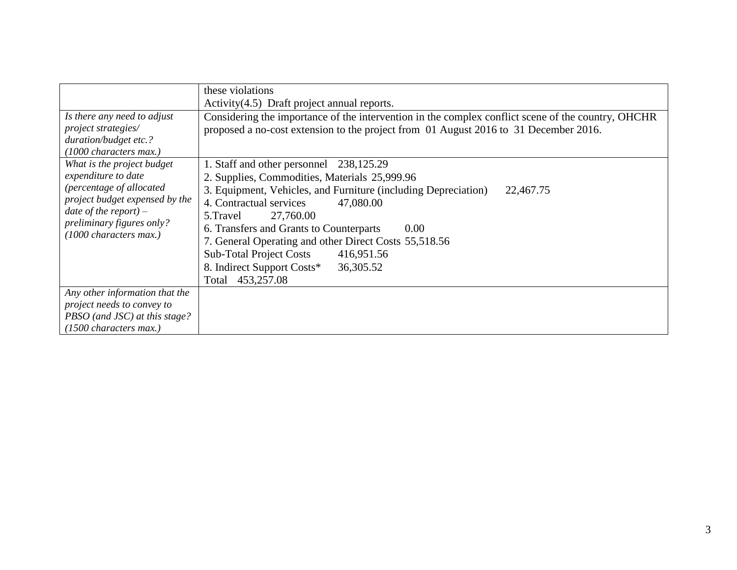|                                                                                                                                                                                                     | these violations                                                                                                                                                                                                                                                                                                                                                                                                                                                    |  |  |  |  |  |  |  |
|-----------------------------------------------------------------------------------------------------------------------------------------------------------------------------------------------------|---------------------------------------------------------------------------------------------------------------------------------------------------------------------------------------------------------------------------------------------------------------------------------------------------------------------------------------------------------------------------------------------------------------------------------------------------------------------|--|--|--|--|--|--|--|
|                                                                                                                                                                                                     | $Activity(4.5)$ Draft project annual reports.                                                                                                                                                                                                                                                                                                                                                                                                                       |  |  |  |  |  |  |  |
| Is there any need to adjust<br>project strategies/<br>duration/budget etc.?<br>(1000 characters max.)                                                                                               | Considering the importance of the intervention in the complex conflict scene of the country, OHCHR<br>proposed a no-cost extension to the project from 01 August 2016 to 31 December 2016.                                                                                                                                                                                                                                                                          |  |  |  |  |  |  |  |
| What is the project budget<br>expenditure to date<br>(percentage of allocated<br>project budget expensed by the<br>date of the report) $-$<br>preliminary figures only?<br>$(1000$ characters max.) | 1. Staff and other personnel 238,125.29<br>2. Supplies, Commodities, Materials 25,999.96<br>3. Equipment, Vehicles, and Furniture (including Depreciation)<br>22,467.75<br>4. Contractual services<br>47,080.00<br>5.Travel<br>27,760.00<br>6. Transfers and Grants to Counterparts<br>0.00<br>7. General Operating and other Direct Costs 55,518.56<br><b>Sub-Total Project Costs</b><br>416,951.56<br>8. Indirect Support Costs*<br>36,305.52<br>Total 453,257.08 |  |  |  |  |  |  |  |
| Any other information that the<br>project needs to convey to<br>PBSO (and JSC) at this stage?<br>$(1500$ characters max.)                                                                           |                                                                                                                                                                                                                                                                                                                                                                                                                                                                     |  |  |  |  |  |  |  |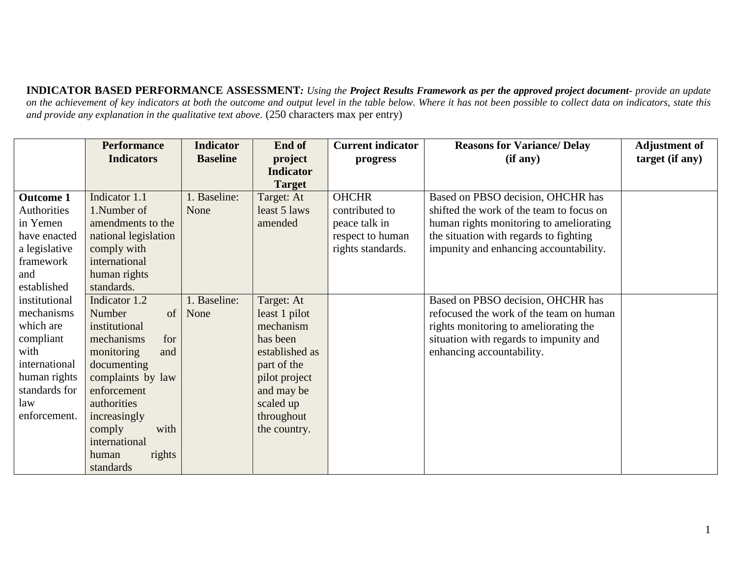**INDICATOR BASED PERFORMANCE ASSESSMENT***: Using the Project Results Framework as per the approved project document- provide an update*  on the achievement of key indicators at both the outcome and output level in the table below. Where it has not been possible to collect data on indicators, state this *and provide any explanation in the qualitative text above.* (250 characters max per entry)

|                  | <b>Performance</b>   | <b>Indicator</b> | End of           | <b>Current indicator</b> | <b>Reasons for Variance/ Delay</b>       | <b>Adjustment of</b> |
|------------------|----------------------|------------------|------------------|--------------------------|------------------------------------------|----------------------|
|                  | <b>Indicators</b>    | <b>Baseline</b>  | project          | progress                 | (if any)                                 | target (if any)      |
|                  |                      |                  | <b>Indicator</b> |                          |                                          |                      |
|                  |                      |                  | <b>Target</b>    |                          |                                          |                      |
| <b>Outcome 1</b> | Indicator 1.1        | 1. Baseline:     | Target: At       | <b>OHCHR</b>             | Based on PBSO decision, OHCHR has        |                      |
| Authorities      | 1.Number of          | None             | least 5 laws     | contributed to           | shifted the work of the team to focus on |                      |
| in Yemen         | amendments to the    |                  | amended          | peace talk in            | human rights monitoring to ameliorating  |                      |
| have enacted     | national legislation |                  |                  | respect to human         | the situation with regards to fighting   |                      |
| a legislative    | comply with          |                  |                  | rights standards.        | impunity and enhancing accountability.   |                      |
| framework        | international        |                  |                  |                          |                                          |                      |
| and              | human rights         |                  |                  |                          |                                          |                      |
| established      | standards.           |                  |                  |                          |                                          |                      |
| institutional    | Indicator 1.2        | 1. Baseline:     | Target: At       |                          | Based on PBSO decision, OHCHR has        |                      |
| mechanisms       | Number<br>of         | None             | least 1 pilot    |                          | refocused the work of the team on human  |                      |
| which are        | institutional        |                  | mechanism        |                          | rights monitoring to ameliorating the    |                      |
| compliant        | mechanisms<br>for    |                  | has been         |                          | situation with regards to impunity and   |                      |
| with             | monitoring<br>and    |                  | established as   |                          | enhancing accountability.                |                      |
| international    | documenting          |                  | part of the      |                          |                                          |                      |
| human rights     | complaints by law    |                  | pilot project    |                          |                                          |                      |
| standards for    | enforcement          |                  | and may be       |                          |                                          |                      |
| law              | authorities          |                  | scaled up        |                          |                                          |                      |
| enforcement.     | increasingly         |                  | throughout       |                          |                                          |                      |
|                  | with<br>comply       |                  | the country.     |                          |                                          |                      |
|                  | international        |                  |                  |                          |                                          |                      |
|                  | rights<br>human      |                  |                  |                          |                                          |                      |
|                  | standards            |                  |                  |                          |                                          |                      |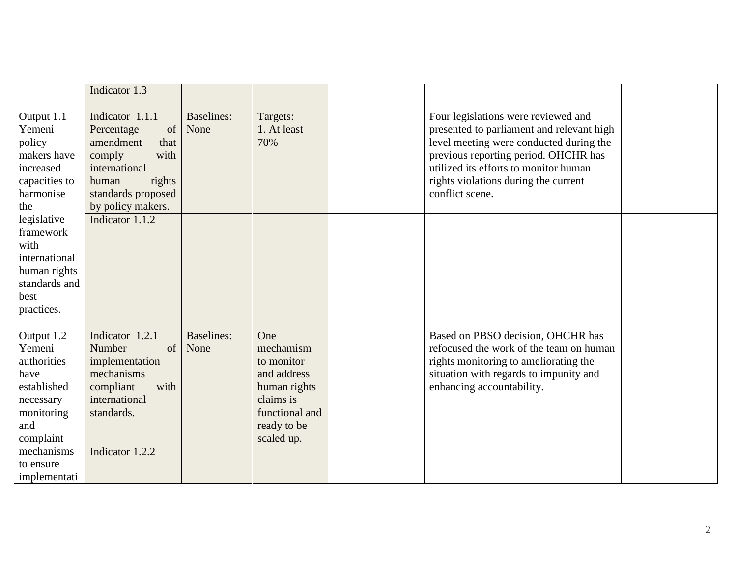|                                                                                                           | Indicator 1.3                                                                                                                                             |                           |                                                                                                                           |                                                                                                                                                                                                                                                                         |  |
|-----------------------------------------------------------------------------------------------------------|-----------------------------------------------------------------------------------------------------------------------------------------------------------|---------------------------|---------------------------------------------------------------------------------------------------------------------------|-------------------------------------------------------------------------------------------------------------------------------------------------------------------------------------------------------------------------------------------------------------------------|--|
| Output 1.1<br>Yemeni<br>policy<br>makers have<br>increased<br>capacities to<br>harmonise<br>the           | Indicator 1.1.1<br>of<br>Percentage<br>amendment<br>that<br>with<br>comply<br>international<br>rights<br>human<br>standards proposed<br>by policy makers. | <b>Baselines:</b><br>None | Targets:<br>1. At least<br>70%                                                                                            | Four legislations were reviewed and<br>presented to parliament and relevant high<br>level meeting were conducted during the<br>previous reporting period. OHCHR has<br>utilized its efforts to monitor human<br>rights violations during the current<br>conflict scene. |  |
| legislative<br>framework<br>with<br>international<br>human rights<br>standards and<br>best<br>practices.  | Indicator 1.1.2                                                                                                                                           |                           |                                                                                                                           |                                                                                                                                                                                                                                                                         |  |
| Output 1.2<br>Yemeni<br>authorities<br>have<br>established<br>necessary<br>monitoring<br>and<br>complaint | Indicator 1.2.1<br>Number<br>of<br>implementation<br>mechanisms<br>with<br>compliant<br>international<br>standards.                                       | <b>Baselines:</b><br>None | One<br>mechamism<br>to monitor<br>and address<br>human rights<br>claims is<br>functional and<br>ready to be<br>scaled up. | Based on PBSO decision, OHCHR has<br>refocused the work of the team on human<br>rights monitoring to ameliorating the<br>situation with regards to impunity and<br>enhancing accountability.                                                                            |  |
| mechanisms<br>to ensure<br>implementati                                                                   | Indicator 1.2.2                                                                                                                                           |                           |                                                                                                                           |                                                                                                                                                                                                                                                                         |  |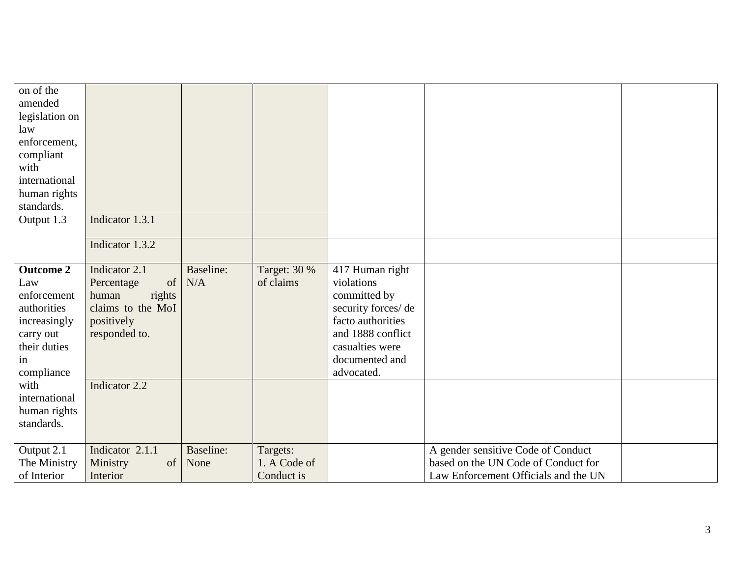| on of the<br>amended<br>legislation on<br>law<br>enforcement,<br>compliant<br>with<br>international<br>human rights<br>standards.<br>Output 1.3                               | Indicator 1.3.1<br>Indicator 1.3.2                                                                                        |                          |                                        |                                                                                                                                                                  |                                                                                                                   |  |
|-------------------------------------------------------------------------------------------------------------------------------------------------------------------------------|---------------------------------------------------------------------------------------------------------------------------|--------------------------|----------------------------------------|------------------------------------------------------------------------------------------------------------------------------------------------------------------|-------------------------------------------------------------------------------------------------------------------|--|
| <b>Outcome 2</b><br>Law<br>enforcement<br>authorities<br>increasingly<br>carry out<br>their duties<br>in<br>compliance<br>with<br>international<br>human rights<br>standards. | Indicator 2.1<br>of<br>Percentage<br>rights<br>human<br>claims to the MoI<br>positively<br>responded to.<br>Indicator 2.2 | <b>Baseline:</b><br>N/A  | <b>Target: 30 %</b><br>of claims       | 417 Human right<br>violations<br>committed by<br>security forces/de<br>facto authorities<br>and 1888 conflict<br>casualties were<br>documented and<br>advocated. |                                                                                                                   |  |
| Output 2.1<br>The Ministry<br>of Interior                                                                                                                                     | Indicator 2.1.1<br>Ministry<br>of<br>Interior                                                                             | <b>Baseline:</b><br>None | Targets:<br>1. A Code of<br>Conduct is |                                                                                                                                                                  | A gender sensitive Code of Conduct<br>based on the UN Code of Conduct for<br>Law Enforcement Officials and the UN |  |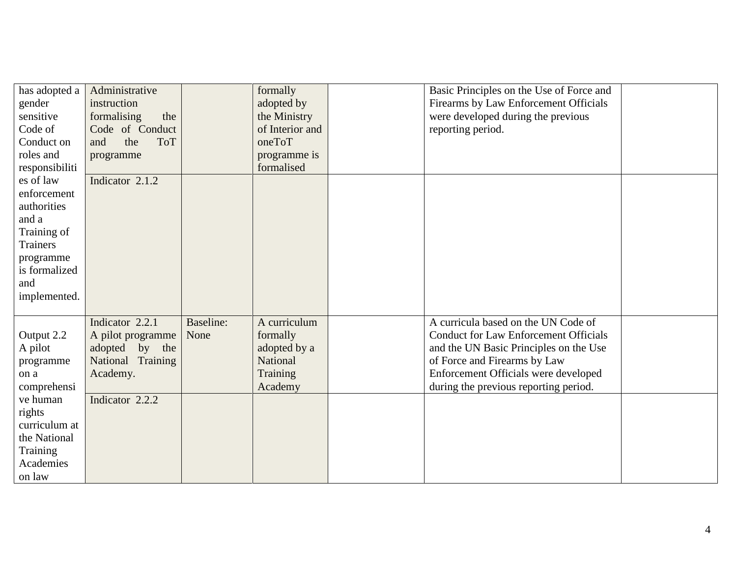| has adopted a<br>gender<br>sensitive<br>Code of<br>Conduct on<br>roles and<br>responsibiliti                                            | Administrative<br>instruction<br>formalising<br>the<br>Code of Conduct<br>the<br><b>ToT</b><br>and<br>programme |                          | formally<br>adopted by<br>the Ministry<br>of Interior and<br>oneToT<br>programme is<br>formalised | Basic Principles on the Use of Force and<br>Firearms by Law Enforcement Officials<br>were developed during the previous<br>reporting period.                                                                                                   |  |
|-----------------------------------------------------------------------------------------------------------------------------------------|-----------------------------------------------------------------------------------------------------------------|--------------------------|---------------------------------------------------------------------------------------------------|------------------------------------------------------------------------------------------------------------------------------------------------------------------------------------------------------------------------------------------------|--|
| es of law<br>enforcement<br>authorities<br>and a<br>Training of<br><b>Trainers</b><br>programme<br>is formalized<br>and<br>implemented. | Indicator 2.1.2                                                                                                 |                          |                                                                                                   |                                                                                                                                                                                                                                                |  |
| Output 2.2<br>A pilot<br>programme<br>on a<br>comprehensi                                                                               | Indicator 2.2.1<br>A pilot programme<br>adopted by the<br>National Training<br>Academy.                         | <b>Baseline:</b><br>None | A curriculum<br>formally<br>adopted by a<br><b>National</b><br>Training<br>Academy                | A curricula based on the UN Code of<br><b>Conduct for Law Enforcement Officials</b><br>and the UN Basic Principles on the Use<br>of Force and Firearms by Law<br>Enforcement Officials were developed<br>during the previous reporting period. |  |
| ve human<br>rights<br>curriculum at<br>the National<br>Training<br>Academies<br>on law                                                  | Indicator 2.2.2                                                                                                 |                          |                                                                                                   |                                                                                                                                                                                                                                                |  |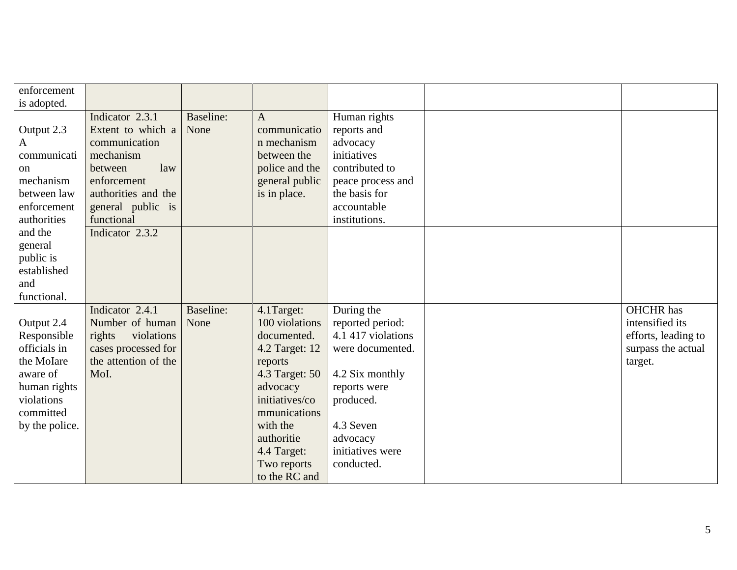| enforcement    |                      |                  |                |                    |                     |
|----------------|----------------------|------------------|----------------|--------------------|---------------------|
| is adopted.    |                      |                  |                |                    |                     |
|                | Indicator 2.3.1      | Baseline:        | $\mathbf{A}$   | Human rights       |                     |
| Output 2.3     | Extent to which a    | None             | communicatio   | reports and        |                     |
| A              | communication        |                  | n mechanism    | advocacy           |                     |
| communicati    | mechanism            |                  | between the    | initiatives        |                     |
| on             | law<br>between       |                  | police and the | contributed to     |                     |
| mechanism      | enforcement          |                  | general public | peace process and  |                     |
| between law    | authorities and the  |                  | is in place.   | the basis for      |                     |
| enforcement    | general public is    |                  |                | accountable        |                     |
| authorities    | functional           |                  |                | institutions.      |                     |
| and the        | Indicator 2.3.2      |                  |                |                    |                     |
| general        |                      |                  |                |                    |                     |
| public is      |                      |                  |                |                    |                     |
| established    |                      |                  |                |                    |                     |
| and            |                      |                  |                |                    |                     |
| functional.    |                      |                  |                |                    |                     |
|                | Indicator 2.4.1      | <b>Baseline:</b> | 4.1Target:     | During the         | <b>OHCHR</b> has    |
| Output 2.4     | Number of human      | None             | 100 violations | reported period:   | intensified its     |
| Responsible    | rights<br>violations |                  | documented.    | 4.1 417 violations | efforts, leading to |
| officials in   | cases processed for  |                  | 4.2 Target: 12 | were documented.   | surpass the actual  |
| the MoIare     | the attention of the |                  | reports        |                    | target.             |
| aware of       | MoI.                 |                  | 4.3 Target: 50 | 4.2 Six monthly    |                     |
| human rights   |                      |                  | advocacy       | reports were       |                     |
| violations     |                      |                  | initiatives/co | produced.          |                     |
| committed      |                      |                  | mmunications   |                    |                     |
| by the police. |                      |                  | with the       | 4.3 Seven          |                     |
|                |                      |                  | authoritie     | advocacy           |                     |
|                |                      |                  | 4.4 Target:    | initiatives were   |                     |
|                |                      |                  | Two reports    | conducted.         |                     |
|                |                      |                  | to the RC and  |                    |                     |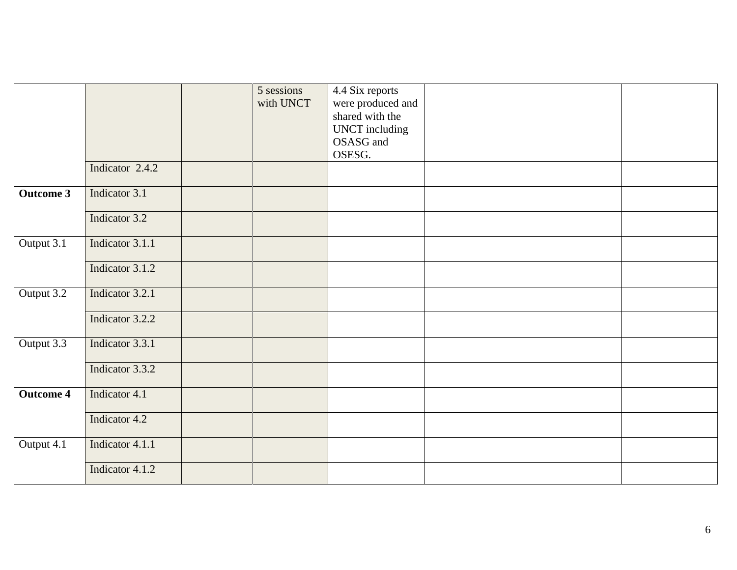|                  |                 | 5 sessions<br>with UNCT | $\overline{4.4~\text{Six}}$ reports<br>were produced and<br>shared with the<br><b>UNCT</b> including |  |
|------------------|-----------------|-------------------------|------------------------------------------------------------------------------------------------------|--|
|                  |                 |                         | OSASG and<br>OSESG.                                                                                  |  |
|                  | Indicator 2.4.2 |                         |                                                                                                      |  |
| <b>Outcome 3</b> | Indicator 3.1   |                         |                                                                                                      |  |
|                  | Indicator 3.2   |                         |                                                                                                      |  |
| Output 3.1       | Indicator 3.1.1 |                         |                                                                                                      |  |
|                  | Indicator 3.1.2 |                         |                                                                                                      |  |
| Output 3.2       | Indicator 3.2.1 |                         |                                                                                                      |  |
|                  | Indicator 3.2.2 |                         |                                                                                                      |  |
| Output 3.3       | Indicator 3.3.1 |                         |                                                                                                      |  |
|                  | Indicator 3.3.2 |                         |                                                                                                      |  |
| <b>Outcome 4</b> | Indicator 4.1   |                         |                                                                                                      |  |
|                  | Indicator 4.2   |                         |                                                                                                      |  |
| Output 4.1       | Indicator 4.1.1 |                         |                                                                                                      |  |
|                  | Indicator 4.1.2 |                         |                                                                                                      |  |